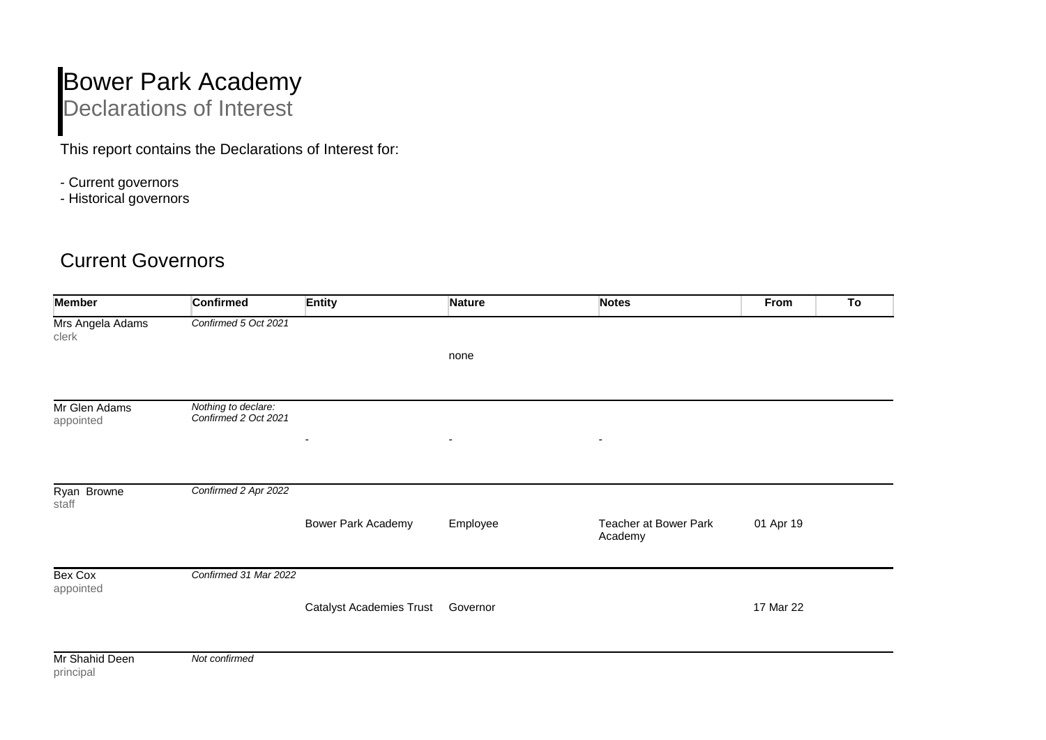## Bower Park Academy Declarations of Interest

This report contains the Declarations of Interest for:

- Current governors
- Historical governors

## Current Governors

| <b>Member</b>               | <b>Confirmed</b>                            | <b>Entity</b>                   | Nature                   | <b>Notes</b>                     | From      | To |
|-----------------------------|---------------------------------------------|---------------------------------|--------------------------|----------------------------------|-----------|----|
| Mrs Angela Adams<br>clerk   | Confirmed 5 Oct 2021                        |                                 |                          |                                  |           |    |
|                             |                                             |                                 | none                     |                                  |           |    |
| Mr Glen Adams<br>appointed  | Nothing to declare:<br>Confirmed 2 Oct 2021 |                                 |                          |                                  |           |    |
|                             |                                             | $\overline{\phantom{a}}$        | $\overline{\phantom{a}}$ | $\overline{\phantom{a}}$         |           |    |
|                             |                                             |                                 |                          |                                  |           |    |
| Ryan Browne<br>staff        | Confirmed 2 Apr 2022                        |                                 |                          |                                  |           |    |
|                             |                                             | <b>Bower Park Academy</b>       | Employee                 | Teacher at Bower Park<br>Academy | 01 Apr 19 |    |
| Bex Cox<br>appointed        | Confirmed 31 Mar 2022                       |                                 |                          |                                  |           |    |
|                             |                                             | <b>Catalyst Academies Trust</b> | Governor                 |                                  | 17 Mar 22 |    |
| Mr Shahid Deen<br>principal | Not confirmed                               |                                 |                          |                                  |           |    |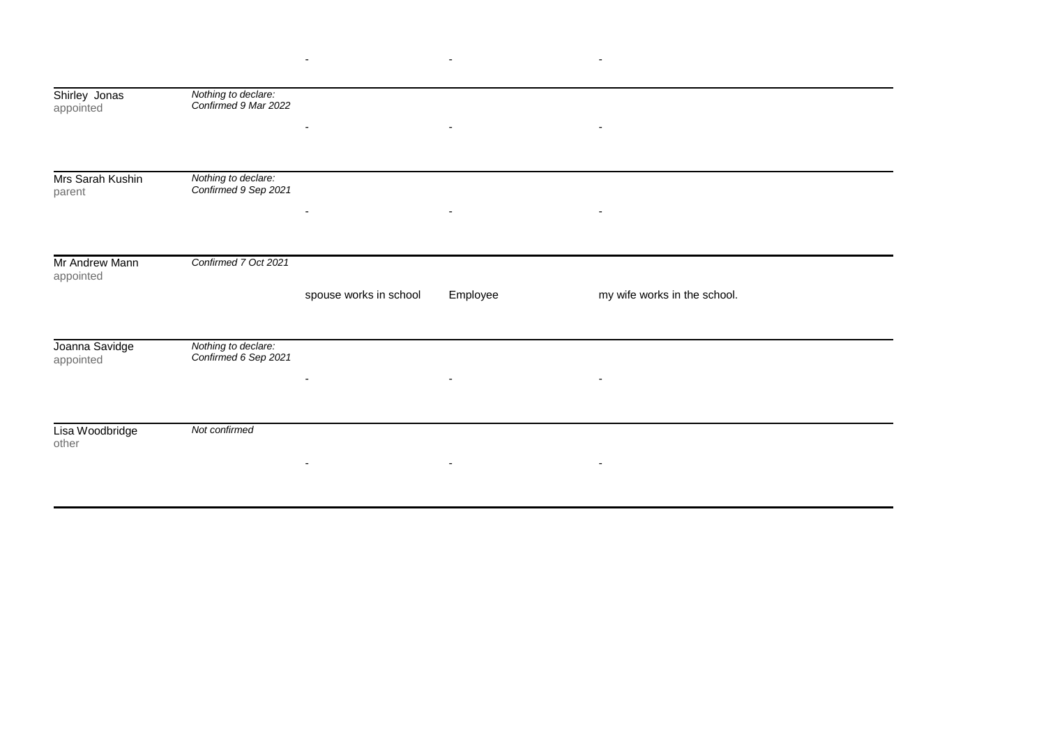| Shirley Jonas<br>appointed  | Nothing to declare:<br>Confirmed 9 Mar 2022 |                          |                          |                              |  |
|-----------------------------|---------------------------------------------|--------------------------|--------------------------|------------------------------|--|
|                             |                                             |                          | $\overline{\phantom{a}}$ | $\overline{\phantom{a}}$     |  |
| Mrs Sarah Kushin<br>parent  | Nothing to declare:<br>Confirmed 9 Sep 2021 |                          |                          |                              |  |
|                             |                                             | $\overline{\phantom{a}}$ | $\overline{\phantom{a}}$ | $\overline{\phantom{a}}$     |  |
| Mr Andrew Mann<br>appointed | Confirmed 7 Oct 2021                        |                          |                          |                              |  |
|                             |                                             | spouse works in school   | Employee                 | my wife works in the school. |  |
| Joanna Savidge<br>appointed | Nothing to declare:<br>Confirmed 6 Sep 2021 | $\overline{\phantom{a}}$ | $\overline{\phantom{a}}$ | $\overline{\phantom{a}}$     |  |
|                             |                                             |                          |                          |                              |  |
| Lisa Woodbridge<br>other    | Not confirmed                               | $\overline{\phantom{a}}$ | $\sim$                   | $\overline{\phantom{a}}$     |  |

- - -